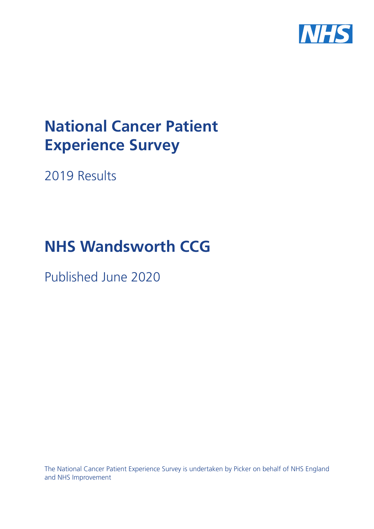

# **National Cancer Patient Experience Survey**

2019 Results

# **NHS Wandsworth CCG**

Published June 2020

The National Cancer Patient Experience Survey is undertaken by Picker on behalf of NHS England and NHS Improvement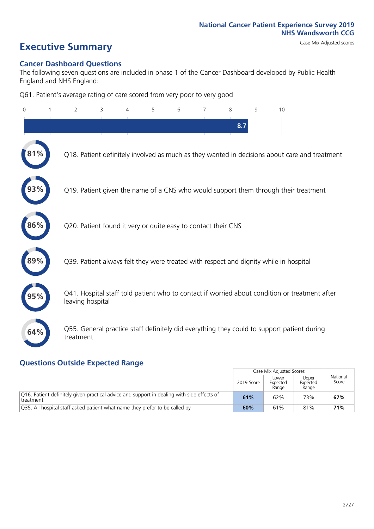# **Executive Summary** Case Mix Adjusted scores

#### **Cancer Dashboard Questions**

The following seven questions are included in phase 1 of the Cancer Dashboard developed by Public Health England and NHS England:

Q61. Patient's average rating of care scored from very poor to very good

| $\overline{0}$ | $\overline{2}$   | 3                                                             | $\overline{4}$ | 5 | 6 | $\overline{7}$ | 8   | 9 | 10                                                                                            |
|----------------|------------------|---------------------------------------------------------------|----------------|---|---|----------------|-----|---|-----------------------------------------------------------------------------------------------|
|                |                  |                                                               |                |   |   |                | 8.7 |   |                                                                                               |
|                |                  |                                                               |                |   |   |                |     |   | Q18. Patient definitely involved as much as they wanted in decisions about care and treatment |
|                |                  |                                                               |                |   |   |                |     |   | Q19. Patient given the name of a CNS who would support them through their treatment           |
| 86%            |                  | Q20. Patient found it very or quite easy to contact their CNS |                |   |   |                |     |   |                                                                                               |
| 89%            |                  |                                                               |                |   |   |                |     |   | Q39. Patient always felt they were treated with respect and dignity while in hospital         |
|                | leaving hospital |                                                               |                |   |   |                |     |   | Q41. Hospital staff told patient who to contact if worried about condition or treatment after |
| 64%            | treatment        |                                                               |                |   |   |                |     |   | Q55. General practice staff definitely did everything they could to support patient during    |
|                |                  |                                                               |                |   |   |                |     |   |                                                                                               |

### **Questions Outside Expected Range**

|                                                                                                          |            | Case Mix Adjusted Scores   |                            |                   |
|----------------------------------------------------------------------------------------------------------|------------|----------------------------|----------------------------|-------------------|
|                                                                                                          | 2019 Score | Lower<br>Expected<br>Range | Upper<br>Expected<br>Range | National<br>Score |
| [O16. Patient definitely given practical advice and support in dealing with side effects of<br>treatment | 61%        | 62%                        | 73%                        | 67%               |
| 035. All hospital staff asked patient what name they prefer to be called by                              | 60%        | 61%                        | 81%                        | 71%               |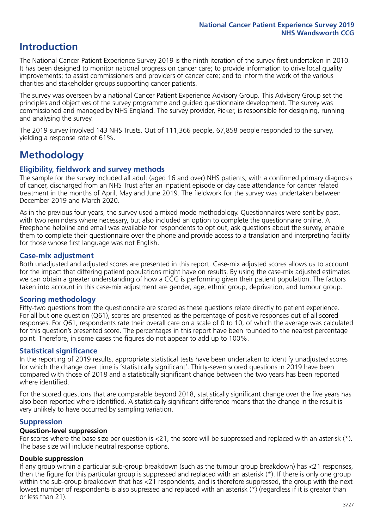## **Introduction**

The National Cancer Patient Experience Survey 2019 is the ninth iteration of the survey first undertaken in 2010. It has been designed to monitor national progress on cancer care; to provide information to drive local quality improvements; to assist commissioners and providers of cancer care; and to inform the work of the various charities and stakeholder groups supporting cancer patients.

The survey was overseen by a national Cancer Patient Experience Advisory Group. This Advisory Group set the principles and objectives of the survey programme and guided questionnaire development. The survey was commissioned and managed by NHS England. The survey provider, Picker, is responsible for designing, running and analysing the survey.

The 2019 survey involved 143 NHS Trusts. Out of 111,366 people, 67,858 people responded to the survey, yielding a response rate of 61%.

# **Methodology**

#### **Eligibility, eldwork and survey methods**

The sample for the survey included all adult (aged 16 and over) NHS patients, with a confirmed primary diagnosis of cancer, discharged from an NHS Trust after an inpatient episode or day case attendance for cancer related treatment in the months of April, May and June 2019. The fieldwork for the survey was undertaken between December 2019 and March 2020.

As in the previous four years, the survey used a mixed mode methodology. Questionnaires were sent by post, with two reminders where necessary, but also included an option to complete the questionnaire online. A Freephone helpline and email was available for respondents to opt out, ask questions about the survey, enable them to complete their questionnaire over the phone and provide access to a translation and interpreting facility for those whose first language was not English.

#### **Case-mix adjustment**

Both unadjusted and adjusted scores are presented in this report. Case-mix adjusted scores allows us to account for the impact that differing patient populations might have on results. By using the case-mix adjusted estimates we can obtain a greater understanding of how a CCG is performing given their patient population. The factors taken into account in this case-mix adjustment are gender, age, ethnic group, deprivation, and tumour group.

#### **Scoring methodology**

Fifty-two questions from the questionnaire are scored as these questions relate directly to patient experience. For all but one question (Q61), scores are presented as the percentage of positive responses out of all scored responses. For Q61, respondents rate their overall care on a scale of 0 to 10, of which the average was calculated for this question's presented score. The percentages in this report have been rounded to the nearest percentage point. Therefore, in some cases the figures do not appear to add up to 100%.

#### **Statistical significance**

In the reporting of 2019 results, appropriate statistical tests have been undertaken to identify unadjusted scores for which the change over time is 'statistically significant'. Thirty-seven scored questions in 2019 have been compared with those of 2018 and a statistically significant change between the two years has been reported where identified.

For the scored questions that are comparable beyond 2018, statistically significant change over the five years has also been reported where identified. A statistically significant difference means that the change in the result is very unlikely to have occurred by sampling variation.

#### **Suppression**

#### **Question-level suppression**

For scores where the base size per question is  $<$ 21, the score will be suppressed and replaced with an asterisk (\*). The base size will include neutral response options.

#### **Double suppression**

If any group within a particular sub-group breakdown (such as the tumour group breakdown) has <21 responses, then the figure for this particular group is suppressed and replaced with an asterisk (\*). If there is only one group within the sub-group breakdown that has <21 respondents, and is therefore suppressed, the group with the next lowest number of respondents is also supressed and replaced with an asterisk (\*) (regardless if it is greater than or less than 21).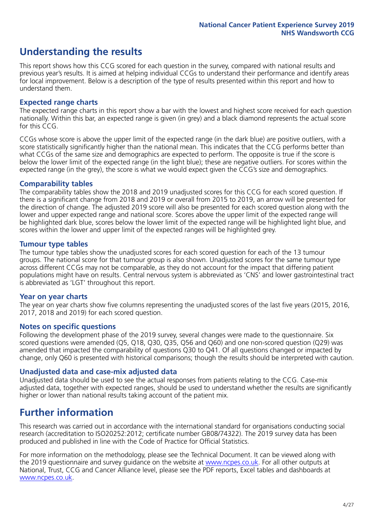# **Understanding the results**

This report shows how this CCG scored for each question in the survey, compared with national results and previous year's results. It is aimed at helping individual CCGs to understand their performance and identify areas for local improvement. Below is a description of the type of results presented within this report and how to understand them.

#### **Expected range charts**

The expected range charts in this report show a bar with the lowest and highest score received for each question nationally. Within this bar, an expected range is given (in grey) and a black diamond represents the actual score for this CCG.

CCGs whose score is above the upper limit of the expected range (in the dark blue) are positive outliers, with a score statistically significantly higher than the national mean. This indicates that the CCG performs better than what CCGs of the same size and demographics are expected to perform. The opposite is true if the score is below the lower limit of the expected range (in the light blue); these are negative outliers. For scores within the expected range (in the grey), the score is what we would expect given the CCG's size and demographics.

#### **Comparability tables**

The comparability tables show the 2018 and 2019 unadjusted scores for this CCG for each scored question. If there is a significant change from 2018 and 2019 or overall from 2015 to 2019, an arrow will be presented for the direction of change. The adjusted 2019 score will also be presented for each scored question along with the lower and upper expected range and national score. Scores above the upper limit of the expected range will be highlighted dark blue, scores below the lower limit of the expected range will be highlighted light blue, and scores within the lower and upper limit of the expected ranges will be highlighted grey.

#### **Tumour type tables**

The tumour type tables show the unadjusted scores for each scored question for each of the 13 tumour groups. The national score for that tumour group is also shown. Unadjusted scores for the same tumour type across different CCGs may not be comparable, as they do not account for the impact that differing patient populations might have on results. Central nervous system is abbreviated as 'CNS' and lower gastrointestinal tract is abbreviated as 'LGT' throughout this report.

#### **Year on year charts**

The year on year charts show five columns representing the unadjusted scores of the last five years (2015, 2016, 2017, 2018 and 2019) for each scored question.

#### **Notes on specific questions**

Following the development phase of the 2019 survey, several changes were made to the questionnaire. Six scored questions were amended (Q5, Q18, Q30, Q35, Q56 and Q60) and one non-scored question (Q29) was amended that impacted the comparability of questions Q30 to Q41. Of all questions changed or impacted by change, only Q60 is presented with historical comparisons; though the results should be interpreted with caution.

#### **Unadjusted data and case-mix adjusted data**

Unadjusted data should be used to see the actual responses from patients relating to the CCG. Case-mix adjusted data, together with expected ranges, should be used to understand whether the results are significantly higher or lower than national results taking account of the patient mix.

### **Further information**

This research was carried out in accordance with the international standard for organisations conducting social research (accreditation to ISO20252:2012; certificate number GB08/74322). The 2019 survey data has been produced and published in line with the Code of Practice for Official Statistics.

For more information on the methodology, please see the Technical Document. It can be viewed along with the 2019 questionnaire and survey quidance on the website at [www.ncpes.co.uk](https://www.ncpes.co.uk/supporting-documents). For all other outputs at National, Trust, CCG and Cancer Alliance level, please see the PDF reports, Excel tables and dashboards at [www.ncpes.co.uk.](https://www.ncpes.co.uk/current-results)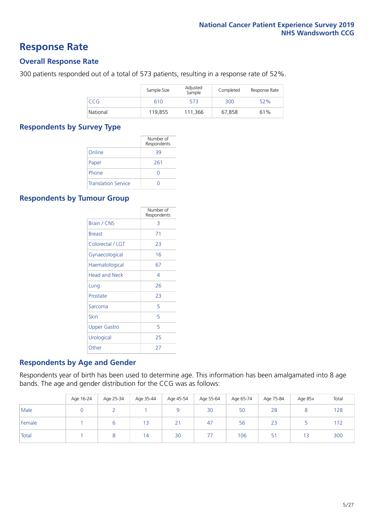### **Response Rate**

#### **Overall Response Rate**

300 patients responded out of a total of 573 patients, resulting in a response rate of 52%.

|          | Sample Size | Adjusted<br>Sample | Completed | Response Rate |
|----------|-------------|--------------------|-----------|---------------|
| CCG      | 610         | 573                | 300       | 52%           |
| National | 119,855     | 111.366            | 67,858    | 61%           |

#### **Respondents by Survey Type**

|                            | Number of<br>Respondents |
|----------------------------|--------------------------|
| Online                     | 39                       |
| Paper                      | 261                      |
| Phone                      |                          |
| <b>Translation Service</b> |                          |

#### **Respondents by Tumour Group**

|                      | Number of<br>Respondents |
|----------------------|--------------------------|
| Brain / CNS          | 3                        |
| <b>Breast</b>        | 71                       |
| Colorectal / LGT     | 23                       |
| Gynaecological       | 16                       |
| Haematological       | 67                       |
| <b>Head and Neck</b> | 4                        |
| Lung                 | 26                       |
| Prostate             | 23                       |
| Sarcoma              | 5                        |
| Skin                 | 5                        |
| <b>Upper Gastro</b>  | 5                        |
| Urological           | 25                       |
| Other                | 27                       |

#### **Respondents by Age and Gender**

Respondents year of birth has been used to determine age. This information has been amalgamated into 8 age bands. The age and gender distribution for the CCG was as follows:

|        | Age 16-24 | Age 25-34 | Age 35-44 | Age 45-54 | Age 55-64 | Age 65-74 | Age 75-84 | Age 85+ | Total |
|--------|-----------|-----------|-----------|-----------|-----------|-----------|-----------|---------|-------|
| Male   |           |           |           |           | 30        | 50        | 28        |         | 128   |
| Female |           |           | 13        | 21        | 47        | 56        | 23        |         | 172   |
| Total  |           |           | 14        | 30        |           | 106       | 51        | 13      | 300   |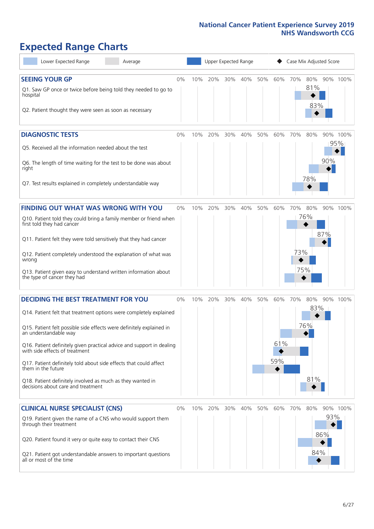# **Expected Range Charts**

| Lower Expected Range<br>Average                                                                                                                                                                                                                                                                                                                                                                                                         | Upper Expected Range<br>Case Mix Adjusted Score |     |         |     |     |     |            |            |                   |            |                 |
|-----------------------------------------------------------------------------------------------------------------------------------------------------------------------------------------------------------------------------------------------------------------------------------------------------------------------------------------------------------------------------------------------------------------------------------------|-------------------------------------------------|-----|---------|-----|-----|-----|------------|------------|-------------------|------------|-----------------|
| <b>SEEING YOUR GP</b><br>Q1. Saw GP once or twice before being told they needed to go to<br>hospital<br>Q2. Patient thought they were seen as soon as necessary                                                                                                                                                                                                                                                                         | 0%                                              | 10% | 20%     | 30% | 40% | 50% | 60%        | 70%        | 80%<br>81%<br>83% |            | 90% 100%        |
| <b>DIAGNOSTIC TESTS</b><br>Q5. Received all the information needed about the test<br>Q6. The length of time waiting for the test to be done was about<br>right                                                                                                                                                                                                                                                                          | 0%                                              | 10% | 20%     | 30% | 40% | 50% | 60%        | 70%        | 80%               | 90%        | 90% 100%<br>95% |
| Q7. Test results explained in completely understandable way                                                                                                                                                                                                                                                                                                                                                                             |                                                 |     |         |     |     |     |            |            | 78%               |            |                 |
| <b>FINDING OUT WHAT WAS WRONG WITH YOU</b><br>Q10. Patient told they could bring a family member or friend when<br>first told they had cancer                                                                                                                                                                                                                                                                                           | 0%                                              | 10% | 20%     | 30% | 40% | 50% | 60%        | 70%        | 80%<br>76%        | 87%        | 90% 100%        |
| Q11. Patient felt they were told sensitively that they had cancer<br>Q12. Patient completely understood the explanation of what was<br>wrong<br>Q13. Patient given easy to understand written information about<br>the type of cancer they had                                                                                                                                                                                          |                                                 |     |         |     |     |     |            | 73%<br>75% |                   |            |                 |
| <b>DECIDING THE BEST TREATMENT FOR YOU</b>                                                                                                                                                                                                                                                                                                                                                                                              | 0%                                              | 10% | 20%     | 30% | 40% | 50% | 60%        | 70%        | 80%<br>83%        |            | 90% 100%        |
| Q14. Patient felt that treatment options were completely explained<br>Q15. Patient felt possible side effects were definitely explained in<br>an understandable way<br>Q16. Patient definitely given practical advice and support in dealing<br>with side effects of treatment<br>Q17. Patient definitely told about side effects that could affect<br>them in the future<br>Q18. Patient definitely involved as much as they wanted in |                                                 |     |         |     |     |     | 61%<br>59% |            | 76%<br>81%        |            |                 |
| decisions about care and treatment                                                                                                                                                                                                                                                                                                                                                                                                      | 0%                                              |     | 10% 20% | 30% | 40% | 50% | 60%        | 70%        | 80%               |            | 90% 100%        |
| <b>CLINICAL NURSE SPECIALIST (CNS)</b><br>Q19. Patient given the name of a CNS who would support them<br>through their treatment<br>Q20. Patient found it very or quite easy to contact their CNS<br>Q21. Patient got understandable answers to important questions<br>all or most of the time                                                                                                                                          |                                                 |     |         |     |     |     |            |            | 84%               | 93%<br>86% |                 |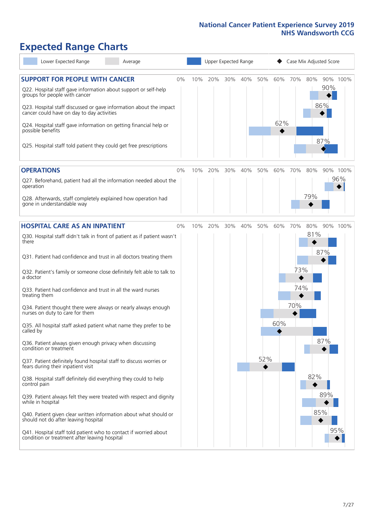# **Expected Range Charts**

| Lower Expected Range<br>Average                                                                                                                                                                                 |    | Upper Expected Range |     |     |     |     |     | Case Mix Adjusted Score |     |            |          |  |  |
|-----------------------------------------------------------------------------------------------------------------------------------------------------------------------------------------------------------------|----|----------------------|-----|-----|-----|-----|-----|-------------------------|-----|------------|----------|--|--|
| <b>SUPPORT FOR PEOPLE WITH CANCER</b><br>Q22. Hospital staff gave information about support or self-help<br>groups for people with cancer<br>Q23. Hospital staff discussed or gave information about the impact | 0% | 10%                  | 20% | 30% | 40% | 50% | 60% | 70%                     | 80% | 90%<br>86% | 90% 100% |  |  |
| cancer could have on day to day activities<br>Q24. Hospital staff gave information on getting financial help or<br>possible benefits<br>Q25. Hospital staff told patient they could get free prescriptions      |    |                      |     |     |     |     | 62% |                         |     | 87%        |          |  |  |
| <b>OPERATIONS</b>                                                                                                                                                                                               | 0% | 10%                  | 20% | 30% | 40% | 50% | 60% | 70%                     | 80% |            | 90% 100% |  |  |
| Q27. Beforehand, patient had all the information needed about the<br>operation                                                                                                                                  |    |                      |     |     |     |     |     |                         |     |            | 96%      |  |  |
| Q28. Afterwards, staff completely explained how operation had<br>gone in understandable way                                                                                                                     |    |                      |     |     |     |     |     |                         | 79% |            |          |  |  |
| <b>HOSPITAL CARE AS AN INPATIENT</b>                                                                                                                                                                            | 0% | 10%                  | 20% | 30% | 40% | 50% | 60% | 70%                     | 80% |            | 90% 100% |  |  |
| Q30. Hospital staff didn't talk in front of patient as if patient wasn't<br>there                                                                                                                               |    |                      |     |     |     |     |     |                         | 81% |            |          |  |  |
| Q31. Patient had confidence and trust in all doctors treating them                                                                                                                                              |    |                      |     |     |     |     |     |                         |     | 87%        |          |  |  |
| Q32. Patient's family or someone close definitely felt able to talk to<br>a doctor                                                                                                                              |    |                      |     |     |     |     |     | 73%                     |     |            |          |  |  |
| Q33. Patient had confidence and trust in all the ward nurses<br>treating them                                                                                                                                   |    |                      |     |     |     |     |     | 74%                     |     |            |          |  |  |
| Q34. Patient thought there were always or nearly always enough<br>nurses on duty to care for them                                                                                                               |    |                      |     |     |     |     |     | 70%                     |     |            |          |  |  |
| Q35. All hospital staff asked patient what name they prefer to be<br>called by                                                                                                                                  |    |                      |     |     |     |     | 60% |                         |     |            |          |  |  |
| Q36. Patient always given enough privacy when discussing<br>condition or treatment                                                                                                                              |    |                      |     |     |     |     |     |                         |     | 87%        |          |  |  |
| Q37. Patient definitely found hospital staff to discuss worries or<br>fears during their inpatient visit                                                                                                        |    |                      |     |     |     | 52% |     |                         |     |            |          |  |  |
| Q38. Hospital staff definitely did everything they could to help<br>control pain                                                                                                                                |    |                      |     |     |     |     |     |                         | 82% |            |          |  |  |
| Q39. Patient always felt they were treated with respect and dignity<br>while in hospital                                                                                                                        |    |                      |     |     |     |     |     |                         |     | 89%        |          |  |  |
| Q40. Patient given clear written information about what should or<br>should not do after leaving hospital                                                                                                       |    |                      |     |     |     |     |     |                         |     | 85%        |          |  |  |
| Q41. Hospital staff told patient who to contact if worried about<br>condition or treatment after leaving hospital                                                                                               |    |                      |     |     |     |     |     |                         |     |            | 95%      |  |  |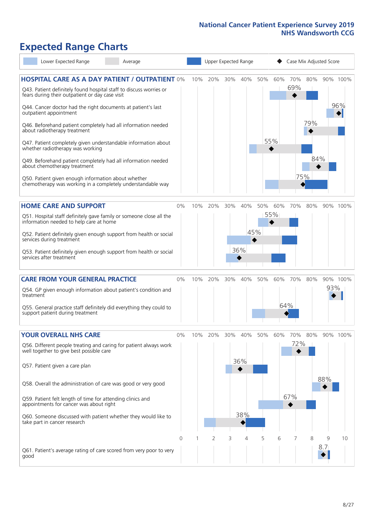# **Expected Range Charts**

| Lower Expected Range<br>Average                                                                                                                                                                                                                                                                                                                                                                                            |    |     |     |     | Upper Expected Range |     |            | Case Mix Adjusted Score |            |     |                 |
|----------------------------------------------------------------------------------------------------------------------------------------------------------------------------------------------------------------------------------------------------------------------------------------------------------------------------------------------------------------------------------------------------------------------------|----|-----|-----|-----|----------------------|-----|------------|-------------------------|------------|-----|-----------------|
| <b>HOSPITAL CARE AS A DAY PATIENT / OUTPATIENT 0%</b><br>Q43. Patient definitely found hospital staff to discuss worries or<br>fears during their outpatient or day case visit<br>Q44. Cancer doctor had the right documents at patient's last<br>outpatient appointment                                                                                                                                                   |    | 10% | 20% | 30% | 40%                  | 50% | 60%        | 70%<br>69%              | 80%        |     | 90% 100%<br>96% |
| Q46. Beforehand patient completely had all information needed<br>about radiotherapy treatment<br>Q47. Patient completely given understandable information about<br>whether radiotherapy was working<br>Q49. Beforehand patient completely had all information needed<br>about chemotherapy treatment<br>Q50. Patient given enough information about whether<br>chemotherapy was working in a completely understandable way |    |     |     |     |                      |     | 55%        | 75%                     | 79%<br>84% |     |                 |
| <b>HOME CARE AND SUPPORT</b><br>Q51. Hospital staff definitely gave family or someone close all the<br>information needed to help care at home                                                                                                                                                                                                                                                                             | 0% | 10% | 20% | 30% | 40%                  | 50% | 60%<br>55% | 70%                     | 80%        |     | 90% 100%        |
| Q52. Patient definitely given enough support from health or social<br>services during treatment<br>Q53. Patient definitely given enough support from health or social<br>services after treatment                                                                                                                                                                                                                          |    |     |     |     | 45%<br>36%           |     |            |                         |            |     |                 |
| <b>CARE FROM YOUR GENERAL PRACTICE</b>                                                                                                                                                                                                                                                                                                                                                                                     | 0% | 10% | 20% | 30% | 40%                  | 50% | 60%        | 70%                     | 80%        |     | 90% 100%        |
| Q54. GP given enough information about patient's condition and<br>treatment                                                                                                                                                                                                                                                                                                                                                |    |     |     |     |                      |     |            |                         |            | 93% |                 |
| Q55. General practice staff definitely did everything they could to<br>support patient during treatment                                                                                                                                                                                                                                                                                                                    |    |     |     |     |                      |     |            | 64%                     |            |     |                 |
| <b>YOUR OVERALL NHS CARE</b>                                                                                                                                                                                                                                                                                                                                                                                               | 0% | 10% | 20% | 30% | 40%                  | 50% | 60%        | 70%                     | 80%        |     | 90% 100%        |
| Q56. Different people treating and caring for patient always work<br>well together to give best possible care<br>Q57. Patient given a care plan                                                                                                                                                                                                                                                                            |    |     |     |     | 36%                  |     |            | 72%                     |            |     |                 |
| Q58. Overall the administration of care was good or very good                                                                                                                                                                                                                                                                                                                                                              |    |     |     |     |                      |     |            |                         |            | 88% |                 |
| Q59. Patient felt length of time for attending clinics and<br>appointments for cancer was about right                                                                                                                                                                                                                                                                                                                      |    |     |     |     |                      |     |            | 67%                     |            |     |                 |
| Q60. Someone discussed with patient whether they would like to<br>take part in cancer research                                                                                                                                                                                                                                                                                                                             |    |     |     |     | 38%                  |     |            |                         |            |     |                 |
|                                                                                                                                                                                                                                                                                                                                                                                                                            | 0  |     | 2   | 3   | 4                    | 5   | 6          | 7                       | 8          | 9   | 10              |
| Q61. Patient's average rating of care scored from very poor to very<br>good                                                                                                                                                                                                                                                                                                                                                |    |     |     |     |                      |     |            |                         |            | 8.7 |                 |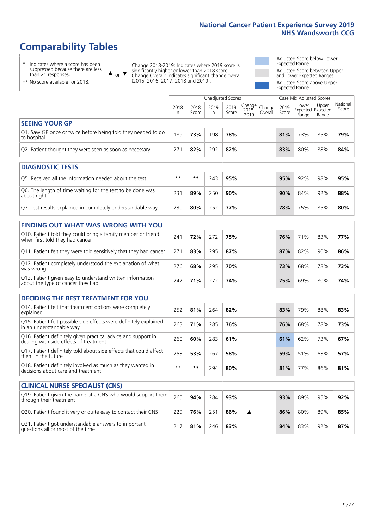# **Comparability Tables**

\* Indicates where a score has been suppressed because there are less than 21 responses.

\*\* No score available for 2018.

 $\triangle$  or  $\nabla$ 

Change 2018-2019: Indicates where 2019 score is significantly higher or lower than 2018 score Change Overall: Indicates significant change overall (2015, 2016, 2017, 2018 and 2019).

Adjusted Score below Lower Expected Range Adjusted Score between Upper and Lower Expected Ranges Adjusted Score above Upper Expected Range

|                                                                             | <b>Unadjusted Scores</b> |               |           |               |                           |                   |               | Case Mix Adjusted Scores |                                     |                   |  |
|-----------------------------------------------------------------------------|--------------------------|---------------|-----------|---------------|---------------------------|-------------------|---------------|--------------------------|-------------------------------------|-------------------|--|
|                                                                             | 2018<br>n                | 2018<br>Score | 2019<br>n | 2019<br>Score | Change  <br>2018-<br>2019 | Change<br>Overall | 2019<br>Score | Lower<br>Range           | Upper<br>Expected Expected<br>Range | National<br>Score |  |
| <b>SEEING YOUR GP</b>                                                       |                          |               |           |               |                           |                   |               |                          |                                     |                   |  |
| Q1. Saw GP once or twice before being told they needed to go<br>to hospital | 189                      | 73%           | 198       | 78%           |                           |                   | 81%           | 73%                      | 85%                                 | 79%               |  |
| Q2. Patient thought they were seen as soon as necessary                     | 271                      | 82%           | 292       | 82%           |                           |                   | 83%           | 80%                      | 88%                                 | 84%               |  |
| <b>DIAGNOSTIC TESTS</b>                                                     |                          |               |           |               |                           |                   |               |                          |                                     |                   |  |
| O5. Received all the information needed about the test                      | $**$                     | **            | 243       | 95%           |                           |                   | 95%           | 92%                      | 98%                                 | 95%               |  |

| Q6. The length of time waiting for the test to be done was<br>about right | 231 | 89% | 250 | 90% |  | 90% | 84% | 92% | 88% |
|---------------------------------------------------------------------------|-----|-----|-----|-----|--|-----|-----|-----|-----|
| Q7. Test results explained in completely understandable way               | 230 | 80% | 252 | 77% |  | 78% | 75% | 85% | 80% |

| <b>FINDING OUT WHAT WAS WRONG WITH YOU</b> |  |
|--------------------------------------------|--|
|                                            |  |

| Q10. Patient told they could bring a family member or friend<br>when first told they had cancer | 241 | 72% | 272 | 75% |  | 76% | 71% | 83% | 77% |
|-------------------------------------------------------------------------------------------------|-----|-----|-----|-----|--|-----|-----|-----|-----|
| Q11. Patient felt they were told sensitively that they had cancer                               | 271 | 83% | 295 | 87% |  | 87% | 82% | 90% | 86% |
| Q12. Patient completely understood the explanation of what<br>was wrong                         | 276 | 68% | 295 | 70% |  | 73% | 68% | 78% | 73% |
| Q13. Patient given easy to understand written information<br>about the type of cancer they had  | 242 | 71% | 272 | 74% |  | 75% | 69% | 80% | 74% |

|  |  | <b>DECIDING THE BEST TREATMENT FOR YOU</b> |
|--|--|--------------------------------------------|
|--|--|--------------------------------------------|

| Q14. Patient felt that treatment options were completely<br>explained                                   | 252  | 81% | 264 | 82% |  | 83% | 79% | 88% | 83% |
|---------------------------------------------------------------------------------------------------------|------|-----|-----|-----|--|-----|-----|-----|-----|
| Q15. Patient felt possible side effects were definitely explained<br>in an understandable way           | 263  | 71% | 285 | 76% |  | 76% | 68% | 78% | 73% |
| Q16. Patient definitely given practical advice and support in<br>dealing with side effects of treatment | 260  | 60% | 283 | 61% |  | 61% | 62% | 73% | 67% |
| Q17. Patient definitely told about side effects that could affect<br>them in the future                 | 253  | 53% | 267 | 58% |  | 59% | 51% | 63% | 57% |
| Q18. Patient definitely involved as much as they wanted in<br>decisions about care and treatment        | $**$ | **  | 294 | 80% |  | 81% | 77% | 86% | 81% |

| <b>CLINICAL NURSE SPECIALIST (CNS)</b>                                                    |     |     |     |     |  |     |     |     |     |
|-------------------------------------------------------------------------------------------|-----|-----|-----|-----|--|-----|-----|-----|-----|
| Q19. Patient given the name of a CNS who would support them<br>through their treatment    | 265 | 94% | 284 | 93% |  | 93% | 89% | 95% | 92% |
| Q20. Patient found it very or quite easy to contact their CNS                             | 229 | 76% | 251 | 86% |  | 86% | 80% | 89% | 85% |
| Q21. Patient got understandable answers to important<br>questions all or most of the time |     | 81% | 246 | 83% |  | 84% | 83% | 92% | 87% |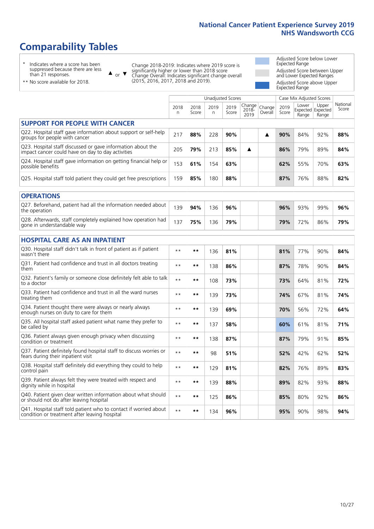# **Comparability Tables**

\* Indicates where a score has been suppressed because there are less than 21 responses.

\*\* No score available for 2018.

 $\triangle$  or  $\nabla$ 

Change 2018-2019: Indicates where 2019 score is significantly higher or lower than 2018 score Change Overall: Indicates significant change overall (2015, 2016, 2017, 2018 and 2019).

Adjusted Score below Lower Expected Range Adjusted Score between Upper and Lower Expected Ranges Adjusted Score above Upper Expected Range

|                                                                                                                   |              |               |            | <b>Unadjusted Scores</b> |                            |                   |               | Case Mix Adjusted Scores            |                |                   |
|-------------------------------------------------------------------------------------------------------------------|--------------|---------------|------------|--------------------------|----------------------------|-------------------|---------------|-------------------------------------|----------------|-------------------|
|                                                                                                                   | 2018<br>n    | 2018<br>Score | 2019<br>n. | 2019<br>Score            | Change<br>$2018 -$<br>2019 | Change<br>Overall | 2019<br>Score | Lower<br>Expected Expected<br>Range | Upper<br>Range | National<br>Score |
| <b>SUPPORT FOR PEOPLE WITH CANCER</b>                                                                             |              |               |            |                          |                            |                   |               |                                     |                |                   |
| Q22. Hospital staff gave information about support or self-help<br>groups for people with cancer                  | 217          | 88%           | 228        | 90%                      |                            | ▲                 | 90%           | 84%                                 | 92%            | 88%               |
| Q23. Hospital staff discussed or gave information about the<br>impact cancer could have on day to day activities  | 205          | 79%           | 213        | 85%                      | ▲                          |                   | 86%           | 79%                                 | 89%            | 84%               |
| Q24. Hospital staff gave information on getting financial help or<br>possible benefits                            | 153          | 61%           | 154        | 63%                      |                            |                   | 62%           | 55%                                 | 70%            | 63%               |
| Q25. Hospital staff told patient they could get free prescriptions                                                | 159          | 85%           | 180        | 88%                      |                            |                   | 87%           | 76%                                 | 88%            | 82%               |
| <b>OPERATIONS</b>                                                                                                 |              |               |            |                          |                            |                   |               |                                     |                |                   |
| Q27. Beforehand, patient had all the information needed about<br>the operation                                    | 139          | 94%           | 136        | 96%                      |                            |                   | 96%           | 93%                                 | 99%            | 96%               |
| Q28. Afterwards, staff completely explained how operation had<br>gone in understandable way                       | 137          | 75%           | 136        | 79%                      |                            |                   | 79%           | 72%                                 | 86%            | 79%               |
| <b>HOSPITAL CARE AS AN INPATIENT</b>                                                                              |              |               |            |                          |                            |                   |               |                                     |                |                   |
| Q30. Hospital staff didn't talk in front of patient as if patient<br>wasn't there                                 | $* *$        | **            | 136        | 81%                      |                            |                   | 81%           | 77%                                 | 90%            | 84%               |
| Q31. Patient had confidence and trust in all doctors treating<br>them                                             | $* *$        | $***$         | 138        | 86%                      |                            |                   | 87%           | 78%                                 | 90%            | 84%               |
| Q32. Patient's family or someone close definitely felt able to talk<br>to a doctor                                | $\star\star$ | **            | 108        | 73%                      |                            |                   | 73%           | 64%                                 | 81%            | 72%               |
| Q33. Patient had confidence and trust in all the ward nurses<br>treating them                                     | $**$         | **            | 139        | 73%                      |                            |                   | 74%           | 67%                                 | 81%            | 74%               |
| Q34. Patient thought there were always or nearly always<br>enough nurses on duty to care for them                 | $* *$        | $***$         | 139        | 69%                      |                            |                   | 70%           | 56%                                 | 72%            | 64%               |
| Q35. All hospital staff asked patient what name they prefer to<br>be called by                                    | $**$         | $***$         | 137        | 58%                      |                            |                   | 60%           | 61%                                 | 81%            | 71%               |
| Q36. Patient always given enough privacy when discussing<br>condition or treatment                                | $* *$        | **            | 138        | 87%                      |                            |                   | 87%           | 79%                                 | 91%            | 85%               |
| Q37. Patient definitely found hospital staff to discuss worries or<br>fears during their inpatient visit          | $* *$        | **            | 98         | 51%                      |                            |                   | 52%           | 42%                                 | 62%            | 52%               |
| Q38. Hospital staff definitely did everything they could to help<br>control pain                                  | $**$         | **            | 129        | 81%                      |                            |                   | 82%           | 76%                                 | 89%            | 83%               |
| Q39. Patient always felt they were treated with respect and<br>dignity while in hospital                          | $\star\star$ | **            | 139        | 88%                      |                            |                   | 89%           | 82%                                 | 93%            | 88%               |
| Q40. Patient given clear written information about what should<br>or should not do after leaving hospital         | $**$         | $***$         | 125        | 86%                      |                            |                   | 85%           | 80%                                 | 92%            | 86%               |
| Q41. Hospital staff told patient who to contact if worried about<br>condition or treatment after leaving hospital | $**$         | **            | 134        | 96%                      |                            |                   | 95%           | 90%                                 | 98%            | 94%               |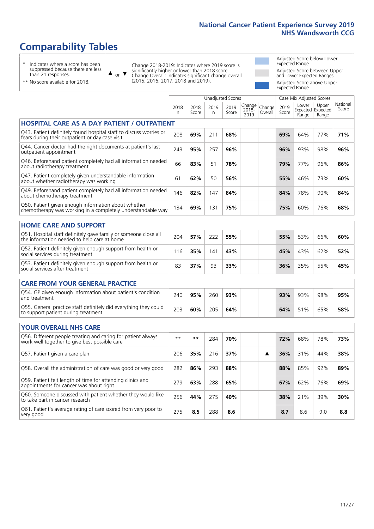# **Comparability Tables**

\* Indicates where a score has been suppressed because there are less than 21 responses.

\*\* No score available for 2018.

 $\triangle$  or  $\nabla$ 

Change 2018-2019: Indicates where 2019 score is significantly higher or lower than 2018 score Change Overall: Indicates significant change overall (2015, 2016, 2017, 2018 and 2019).

Adjusted Score below Lower Expected Range Adjusted Score between Upper and Lower Expected Ranges Adjusted Score above Upper Expected Range

|                                                                                                                       | Unadjusted Scores |               |            |               |                         |                   |               | Case Mix Adjusted Scores            |                |                   |
|-----------------------------------------------------------------------------------------------------------------------|-------------------|---------------|------------|---------------|-------------------------|-------------------|---------------|-------------------------------------|----------------|-------------------|
|                                                                                                                       | 2018<br>n         | 2018<br>Score | 2019<br>n. | 2019<br>Score | Change<br>2018-<br>2019 | Change<br>Overall | 2019<br>Score | Lower<br>Expected Expected<br>Range | Upper<br>Range | National<br>Score |
| <b>HOSPITAL CARE AS A DAY PATIENT / OUTPATIENT</b>                                                                    |                   |               |            |               |                         |                   |               |                                     |                |                   |
| Q43. Patient definitely found hospital staff to discuss worries or<br>fears during their outpatient or day case visit | 208               | 69%           | 211        | 68%           |                         |                   | 69%           | 64%                                 | 77%            | 71%               |
| Q44. Cancer doctor had the right documents at patient's last<br>outpatient appointment                                | 243               | 95%           | 257        | 96%           |                         |                   | 96%           | 93%                                 | 98%            | 96%               |
| Q46. Beforehand patient completely had all information needed<br>about radiotherapy treatment                         | 66                | 83%           | 51         | 78%           |                         |                   | 79%           | 77%                                 | 96%            | 86%               |
| Q47. Patient completely given understandable information<br>about whether radiotherapy was working                    | 61                | 62%           | 50         | 56%           |                         |                   | 55%           | 46%                                 | 73%            | 60%               |
| Q49. Beforehand patient completely had all information needed<br>about chemotherapy treatment                         | 146               | 82%           | 147        | 84%           |                         |                   | 84%           | 78%                                 | 90%            | 84%               |
| Q50. Patient given enough information about whether<br>chemotherapy was working in a completely understandable way    | 134               | 69%           | 131        | 75%           |                         |                   | 75%           | 60%                                 | 76%            | 68%               |
| <b>HOME CARE AND SUPPORT</b>                                                                                          |                   |               |            |               |                         |                   |               |                                     |                |                   |
| Q51. Hospital staff definitely gave family or someone close all<br>the information needed to help care at home        | 204               | 57%           | 222        | 55%           |                         |                   | 55%           | 53%                                 | 66%            | 60%               |
| Q52. Patient definitely given enough support from health or<br>social services during treatment                       | 116               | 35%           | 141        | 43%           |                         |                   | 45%           | 43%                                 | 62%            | 52%               |
| Q53. Patient definitely given enough support from health or<br>social services after treatment                        | 83                | 37%           | 93         | 33%           |                         |                   | 36%           | 35%                                 | 55%            | 45%               |
| CARE FROM YOUR GENERAL PRACTICE                                                                                       |                   |               |            |               |                         |                   |               |                                     |                |                   |
| Q54. GP given enough information about patient's condition<br>and treatment                                           | 240               | 95%           | 260        | 93%           |                         |                   | 93%           | 93%                                 | 98%            | 95%               |
| Q55. General practice staff definitely did everything they could<br>to support patient during treatment               | 203               | 60%           | 205        | 64%           |                         |                   | 64%           | 51%                                 | 65%            | 58%               |
| <b>YOUR OVERALL NHS CARE</b>                                                                                          |                   |               |            |               |                         |                   |               |                                     |                |                   |
| Q56. Different people treating and caring for patient always                                                          | $\star\star$      | $***$         |            |               |                         |                   |               |                                     |                |                   |
| work well together to give best possible care                                                                         |                   |               | 284        | 70%           |                         |                   | 72%           | 68%                                 | 78%            | 73%               |
| Q57. Patient given a care plan                                                                                        | 206               | 35%           | 216        | 37%           |                         | ▲                 | 36%           | 31%                                 | 44%            | 38%               |
| Q58. Overall the administration of care was good or very good                                                         | 282               | 86%           | 293        | 88%           |                         |                   | 88%           | 85%                                 | 92%            | 89%               |
| Q59. Patient felt length of time for attending clinics and<br>appointments for cancer was about right                 | 279               | 63%           | 288        | 65%           |                         |                   | 67%           | 62%                                 | 76%            | 69%               |
| Q60. Someone discussed with patient whether they would like<br>to take part in cancer research                        | 256               | 44%           | 275        | 40%           |                         |                   | 38%           | 21%                                 | 39%            | 30%               |
| Q61. Patient's average rating of care scored from very poor to<br>very good                                           | 275               | 8.5           | 288        | 8.6           |                         |                   | 8.7           | 8.6                                 | 9.0            | 8.8               |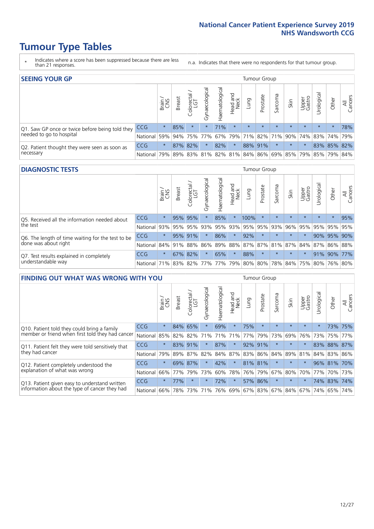# **Tumour Type Tables**

- \* Indicates where a score has been suppressed because there are less than 21 responses.
- n.a. Indicates that there were no respondents for that tumour group.

| <b>SEEING YOUR GP</b>                                      |            |              |               |            |                    |                |                  |         | <b>Tumour Group</b>   |         |         |                 |                                                                 |             |                |
|------------------------------------------------------------|------------|--------------|---------------|------------|--------------------|----------------|------------------|---------|-----------------------|---------|---------|-----------------|-----------------------------------------------------------------|-------------|----------------|
|                                                            |            | Brain<br>CNS | <b>Breast</b> | Colorectal | ᠊ᢛ<br>Gynaecologic | Haematological | Head and<br>Neck | Lung    | Prostate              | Sarcoma | Skin    | Upper<br>Gastro | –<br>$\sigma$<br>Jrologica                                      | Other       | All<br>Cancers |
| Q1. Saw GP once or twice before being told they            | <b>CCG</b> | $\star$      | 85%           | $\star$    | $\star$            | 71%            | $\star$          | $\star$ | $\star$               | $\star$ | $\star$ | $\star$         | $\star$                                                         | $\star$     | 78%            |
| needed to go to hospital                                   | National   | 59%          |               | 94% 75%    | $77\%$             |                |                  |         | 67%   79%   71%   82% |         |         |                 | 71% 90% 74% 83% 74% 79%                                         |             |                |
| Q2. Patient thought they were seen as soon as<br>necessary | <b>CCG</b> | $\star$      |               | 87% 82%    | $\star$            | 82%            | $\star$          |         | 88% 91%               | $\star$ | $\star$ | $\star$         |                                                                 | 83% 85% 82% |                |
|                                                            | National   | 79%          |               | 89% 83%    |                    |                |                  |         |                       |         |         |                 | 81%   82%   81%   84%   86%   69%   85%   79%   85%   79%   84% |             |                |

#### **DIAGNOSTIC TESTS** Tumour Group

|                                                                |                                                                  | Brain   | <b>Breast</b> | Colorectal<br>LGT | ᠊ᢛ<br>Gynaecologic | Haematological | Head and<br>Neck | Lung        | Prostate | Sarcoma | Skin    | Upper<br>Gastro | rological                                   | Other   | All<br>Cancers |
|----------------------------------------------------------------|------------------------------------------------------------------|---------|---------------|-------------------|--------------------|----------------|------------------|-------------|----------|---------|---------|-----------------|---------------------------------------------|---------|----------------|
| O5. Received all the information needed about<br>the test      | <b>CCG</b>                                                       | $\star$ |               | 95% 95%           |                    | 85%            | $\star$          | 100%        | $\star$  |         | $\star$ | $\star$         | $\star$                                     | $\star$ | 95%            |
|                                                                | National                                                         | 93%     |               | 95% 95%           |                    | 93% 95%        |                  | 93% 95% 95% |          | 93%     | 96%     |                 | 95% 95%                                     |         | 95% 95%        |
| Q6. The length of time waiting for the test to be              | <b>CCG</b>                                                       | $\star$ |               | 95% 91%           | $\star$            | 86%            | $\star$          | 92%         | $\star$  | $\star$ | $\star$ | $\star$         |                                             | 90% 95% | 90%            |
| done was about right                                           | National                                                         |         |               | 84% 91% 88%       |                    |                |                  |             |          |         |         |                 | 86% 89% 88% 87% 87% 81% 87% 84% 87% 86% 88% |         |                |
| Q7. Test results explained in completely<br>understandable way | <b>CCG</b>                                                       | $\star$ |               | 67% 82%           | $\star$            | 65%            | $\star$          | 88%         | $\star$  | $\star$ | $\star$ | $\star$         |                                             |         | 91% 90% 77%    |
|                                                                | National 71% 83% 82% 77% 77% 79% 80% 80% 78% 84% 75% 80% 76% 80% |         |               |                   |                    |                |                  |             |          |         |         |                 |                                             |         |                |

| <b>FINDING OUT WHAT WAS WRONG WITH YOU</b>                                                      |            |         |               |                       |                |                   |                        |         | <b>Tumour Group</b> |         |         |                 |           |         |                |
|-------------------------------------------------------------------------------------------------|------------|---------|---------------|-----------------------|----------------|-------------------|------------------------|---------|---------------------|---------|---------|-----------------|-----------|---------|----------------|
|                                                                                                 |            | Brain   | <b>Breast</b> | olorectal<br>LGT<br>Û | Gynaecological | aematologica<br>ェ | ad and<br>Neck<br>Head | Lung    | Prostate            | Sarcoma | Skin    | Upper<br>Gastro | rological | Other   | All<br>Cancers |
| Q10. Patient told they could bring a family<br>member or friend when first told they had cancer | <b>CCG</b> | $\star$ | 84%           | 65%                   | $\star$        | 69%               | $\star$                | 75%     | $\star$             | $\star$ | $\star$ | $\star$         | $\star$   |         | 73% 75%        |
|                                                                                                 | National   | 85%     | 82%           | 82%                   | 71%            | 71%               | 71%                    | 77%     | 79%                 | 73%     | 69%     | 76%             | 73%       | 75%     | 77%            |
| Q11. Patient felt they were told sensitively that                                               | CCG        | $\star$ | 83% 91%       |                       |                | 87%               | $\star$                | 92% 91% |                     | $\ast$  | $\star$ | $\star$         | 83%       | 88%     | 87%            |
| they had cancer                                                                                 | National   | 79%     |               | 89% 87% 82%           |                |                   | 84% 87%                | 83% 86% |                     | 84%     |         | 89% 81%         |           | 84% 83% | 86%            |
| Q12. Patient completely understood the                                                          | CCG        | $\star$ | 69%           | 87%                   |                | 42%               | $\star$                | 81% 81% |                     | $\star$ | $\star$ |                 |           | 96% 81% | 70%            |
| explanation of what was wrong                                                                   | National   | 66%     | 77%           | 79%                   | 73%            | 60%               | 78%                    | 76%     | 79%                 | 67%     | 80%     | 70%             | 77%       |         | 70% 73%        |
| Q13. Patient given easy to understand written                                                   | CCG        | $\star$ | 77%           | $\star$               |                | 72%               | $\star$                |         | 57% 86%             | $\ast$  | $\star$ | $\star$         |           | 74% 83% | 74%            |
| information about the type of cancer they had                                                   | National   | 66%     | 78%           | 73%                   | 71%            | 76%               | 69%                    | 67% 83% |                     | 67%     | 84%     | 67%             | 74%       | 65%     | 74%            |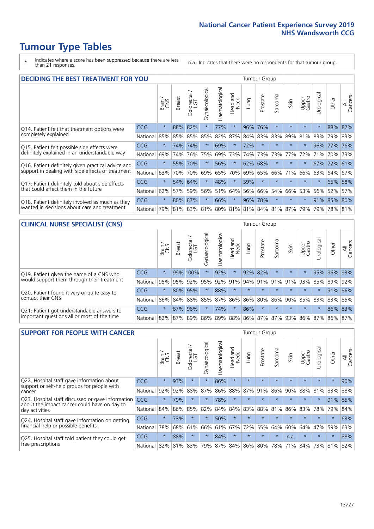# **Tumour Type Tables**

\* Indicates where a score has been suppressed because there are less than 21 responses.

n.a. Indicates that there were no respondents for that tumour group.

| <b>DECIDING THE BEST TREATMENT FOR YOU</b>         |            |         |               |                             |                |                |                        |      | <b>Tumour Group</b> |                         |         |                 |            |             |                |
|----------------------------------------------------|------------|---------|---------------|-----------------------------|----------------|----------------|------------------------|------|---------------------|-------------------------|---------|-----------------|------------|-------------|----------------|
|                                                    |            | Brain   | <b>Breast</b> | olorectal.<br>LGT<br>$\cup$ | Gynaecological | Haematological | ad and<br>Neck<br>Head | Lung | Prostate            | Sarcoma                 | Skin    | Upper<br>Gastro | Jrological | Other       | All<br>Cancers |
| Q14. Patient felt that treatment options were      | <b>CCG</b> | $\star$ | 88%           | 82%                         | $\star$        | 77%            | $\star$                | 96%  | 76%                 | $\star$                 |         | $\star$         | $\star$    | 88%         | 82%            |
| completely explained                               | National   | 85%     | 85%           | 85%                         | 85%            | 82%            | 87%                    |      | 84% 83%             | 83%                     | 89%     | 81%             | 83%        | 79%         | 83%            |
| Q15. Patient felt possible side effects were       | <b>CCG</b> | $\star$ | 74%           | 74%                         | $\star$        | 69%            | $\star$                | 72%  | $\star$             |                         | $\star$ | $\star$         |            | 96% 77%     | 76%            |
| definitely explained in an understandable way      | National   | 69%     | 74%           | 76%                         | 75%            | 69%            | 73%                    | 74%  | 73%                 | 73%                     | 77%     | 72%             | 71%        | 70%         | 73%            |
| Q16. Patient definitely given practical advice and | CCG        | $\star$ | 55%           | 70%                         | $\star$        | 56%            | $\star$                | 62%  | 68%                 | $\star$                 | $\star$ | $\star$         |            | 67% 72% 61% |                |
| support in dealing with side effects of treatment  | National   | 63%     | 70%           | 70%                         | 69%            | 65%            | 70%                    | 69%  | 65%                 | 66%                     | 71%     | 66%             | 63%        | 64%         | 67%            |
| Q17. Patient definitely told about side effects    | CCG        | $\star$ |               | 54% 64%                     | $\star$        | 48%            | $\star$                | 59%  | $\star$             | $\star$                 | $\star$ | $\star$         | $^\star$   | 65%         | 58%            |
| that could affect them in the future               | National   | 62%     | 57%           | 59%                         | 56%            | 51%            | 64%                    | 56%  | 66%                 | 54%                     | 66%     | 53%             | 56%        | 52%         | 57%            |
| Q18. Patient definitely involved as much as they   | CCG        | $\star$ | 80%           | 87%                         | $\star$        | 66%            | $\star$                |      | 96% 78%             | $\star$                 | $\star$ | $\star$         |            | 91% 85% 80% |                |
| wanted in decisions about care and treatment       | National   | 79%     |               |                             | 81% 83% 81%    |                |                        |      |                     | 80% 81% 81% 84% 81% 87% |         | 79%             | 79%        | 78% 81%     |                |

#### **CLINICAL NURSE SPECIALIST (CNS)** Tumour Group

|                                             |            | Brain   | <b>Breast</b> | Colorectal<br>LGT | ᠊ᢛ<br>Gynaecologic | $\overline{\sigma}$<br>ت<br>aematologi | Head and<br>Neck | Lung    | Prostate | Sarcoma | Skin                    | Upper<br>Gastro | $\overline{\sigma}$<br>Irologica | Other       | All<br>Cancers |
|---------------------------------------------|------------|---------|---------------|-------------------|--------------------|----------------------------------------|------------------|---------|----------|---------|-------------------------|-----------------|----------------------------------|-------------|----------------|
| Q19. Patient given the name of a CNS who    | CCG        | $\star$ |               | 99% 100%          |                    | 92%                                    | $\star$          | 92% 82% |          | $\star$ | $\star$                 |                 |                                  | 95% 96% 93% |                |
| would support them through their treatment  | National   | 95%     | 95%           | 92%               | 95%                | 92%                                    | 91%              | 94% 91% |          |         | $ 91\% 91\% $           | 93%             | 85%                              | 89%         | 92%            |
| Q20. Patient found it very or quite easy to | CCG        | $\star$ |               | 80% 95%           |                    | 88%                                    | $\star$          | $\star$ | $\star$  | $\star$ | $\star$                 | $\star$         |                                  |             | $91\%$ 86%     |
| contact their CNS                           | National   |         |               | 86% 84% 88% 85%   |                    | 87%                                    | 86%              | 86% 80% |          |         |                         | 86% 90% 85%     | 83%                              | 83%         | 85%            |
| Q21. Patient got understandable answers to  | <b>CCG</b> | $\star$ | 87%           | 96%               |                    | 74%                                    | $\star$          | 86%     | $\star$  | $\star$ | $\star$                 | $\star$         | $\star$                          |             | 86% 83%        |
| important questions all or most of the time | National   |         |               | 82% 87% 89% 86%   |                    |                                        |                  |         |          |         | 89% 88% 86% 87% 87% 93% |                 | 86% 87%                          | 86%         | 87%            |

| <b>SUPPORT FOR PEOPLE WITH CANCER</b>                                                               |            |         |               |            |                |                |                         |         | <b>Tumour Group</b> |         |         |                 |            |         |                |
|-----------------------------------------------------------------------------------------------------|------------|---------|---------------|------------|----------------|----------------|-------------------------|---------|---------------------|---------|---------|-----------------|------------|---------|----------------|
|                                                                                                     |            | Brain   | <b>Breast</b> | Colorectal | Gynaecological | Haematological | ead and<br>Neck<br>Head | Lung    | Prostate            | Sarcoma | Skin    | Upper<br>Gastro | Jrological | Other   | All<br>Cancers |
| Q22. Hospital staff gave information about<br>support or self-help groups for people with<br>cancer | <b>CCG</b> | $\star$ | 93%           | $\star$    | $\star$        | 86%            | $\star$                 | $\star$ | $\star$             | $\star$ | $\star$ | $\star$         | $\star$    | $\star$ | 90%            |
|                                                                                                     | National   | 92%     | 92%           | 88%        | 87%            | 86%            | 88%                     | 87%     | 91%                 | 86%     | 90%     | 88%             | 81%        | 83%     | 88%            |
| Q23. Hospital staff discussed or gave information<br>about the impact cancer could have on day to   | CCG.       | $\star$ | 79%           | $\star$    | $\star$        | 78%            | $\star$                 | $\star$ | $\star$             | $\star$ | $\star$ | $\star$         | $\star$    | 91%     | 85%            |
| day activities                                                                                      | National   | 84%     | 86%           | 85%        | 82%            | 84%            | 84%                     | 83%     | 88%                 | 81%     | 86%     | 83%             | 78%        | 79%     | 84%            |
| Q24. Hospital staff gave information on getting                                                     | CCG        | $\star$ | 73%           | $\star$    | $\star$        | 50%            | $\ast$                  | $\star$ | $\star$             | $\star$ |         | $\star$         | $\star$    | $\ast$  | 63%            |
| financial help or possible benefits                                                                 | National   | 78%     | 68%           | 61%        | 66%            | 61%            | 67%                     | 72%     | 55%                 | 64%     | 60%     | 64%             | 47%        | 59%     | 63%            |
| Q25. Hospital staff told patient they could get                                                     | CCG        | $\star$ | 88%           | $\star$    | $\star$        | 84%            | $\star$                 | $\star$ | $\star$             | $\star$ | n.a.    | $\star$         | $\star$    | $\star$ | 88%            |
| free prescriptions                                                                                  | National   | 82%     | 81%           | 83%        | 79%            | 87%            |                         |         | 84% 86% 80%         | 78%     | 71%     | 84%             | 73%        | 81%     | 82%            |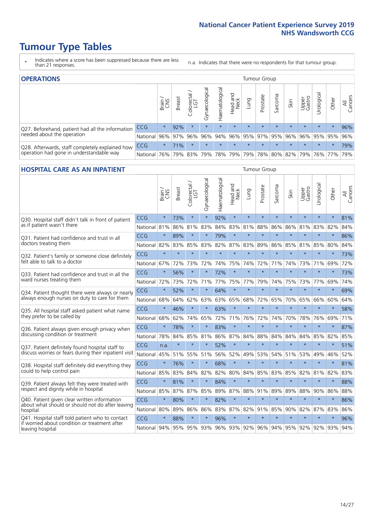# **Tumour Type Tables**

- \* Indicates where a score has been suppressed because there are less than 21 responses.
- n.a. Indicates that there were no respondents for that tumour group.

| <b>OPERATIONS</b>                                                                           |                      |              |        |                   |                |                |                  |         | Tumour Group                |         |         |                 |                                                                 |         |                |  |  |
|---------------------------------------------------------------------------------------------|----------------------|--------------|--------|-------------------|----------------|----------------|------------------|---------|-----------------------------|---------|---------|-----------------|-----------------------------------------------------------------|---------|----------------|--|--|
|                                                                                             |                      | Brain<br>CNS | Breast | Colorectal<br>LGT | Gynaecological | Haematological | Head and<br>Neck | Lung    | Prostate                    | Sarcoma | Skin    | Upper<br>Gastro | Urological                                                      | Other   | All<br>Cancers |  |  |
| Q27. Beforehand, patient had all the information                                            | <b>CCG</b>           | $\star$      | 92%    | $\star$           | $\star$        | $\star$        | $\star$          | $\star$ | $\star$                     | $\star$ | $\star$ | $\star$         | $\star$                                                         | $\star$ | 96%            |  |  |
| needed about the operation                                                                  | National 96% 97% 96% |              |        |                   |                |                |                  |         | 96% 94% 96% 95% 97% 95% 96% |         |         |                 | 96% 95% 95%                                                     |         | 96%            |  |  |
| Q28. Afterwards, staff completely explained how<br>operation had gone in understandable way | <b>CCG</b>           | $\star$      | 71%    | $\star$           | $\star$        | $\star$        | $\star$          | $\star$ | $\star$                     | $\star$ | $\star$ | $\star$         | $\star$                                                         | $\star$ | 79%            |  |  |
|                                                                                             | National I           | 76%          |        | 79% 83%           |                |                |                  |         |                             |         |         |                 | 79%   78%   79%   79%   78%   80%   82%   79%   76%   77%   79% |         |                |  |  |

#### **HOSPITAL CARE AS AN INPATIENT** Tumour Group

|                                                                                                   |              | Brain   | Breast  | Colorectal /<br>LGT | Gynaecological | Haematological | Head and<br>Neck | Lung        | Prostate | Sarcoma | Skin            | Upper<br>Gastro | Urological | Other   | All<br>Cancers |
|---------------------------------------------------------------------------------------------------|--------------|---------|---------|---------------------|----------------|----------------|------------------|-------------|----------|---------|-----------------|-----------------|------------|---------|----------------|
| Q30. Hospital staff didn't talk in front of patient                                               | CCG          | $\star$ | 73%     | $\star$             | $\star$        | 92%            | $\star$          | $\star$     | $\star$  | $\star$ | $\star$         | $\star$         | $\star$    | $\star$ | 81%            |
| as if patient wasn't there                                                                        | National     | 81%     | 86%     | 81%                 | 83%            | 84%            | 83%              | 81%         | 88%      | 86%     | 86%             | 81%             | 83%        | 82%     | 84%            |
| 031. Patient had confidence and trust in all<br>doctors treating them                             | CCG          | $\star$ | 89%     | $\star$             | $\star$        | 79%            | $\star$          | $\star$     | $\star$  | $\star$ | $\star$         |                 | $\star$    | $\star$ | 86%            |
|                                                                                                   | National     | 82%     | 83%     | 85%                 | 83%            | 82%            |                  | 87% 83%     | 89%      | 86%     | 85%             | 81%             | 85%        | 80%     | 84%            |
| Q32. Patient's family or someone close definitely                                                 | CCG          | $\star$ | $\star$ | $\star$             | $\star$        | $\star$        | $\star$          | $\star$     | $\star$  | $\star$ | $\star$         | $\star$         | $\star$    | $\star$ | 73%            |
| felt able to talk to a doctor                                                                     | National     | 67%     | 72%     | 73%                 | 72%            | 74%            | 75%              | 74%         | 72%      | 71%     | 74%             | 73%             | 71%        | 69%     | 72%            |
| Q33. Patient had confidence and trust in all the                                                  | CCG          | $\star$ | 56%     | $\star$             | $\star$        | 72%            | $\star$          | $\star$     | $\star$  | $\star$ | $\star$         | $\star$         | $\star$    | $\star$ | 73%            |
| ward nurses treating them                                                                         | National     | 72%     | 73%     | 72%                 | 71%            | 77%            | 75%              | 77%         | 79%      | 74%     | 75%             | 73%             | 77%        | 69%     | 74%            |
| Q34. Patient thought there were always or nearly<br>always enough nurses on duty to care for them | CCG          | $\star$ | 52%     | $\star$             | $\star$        | 64%            | $\star$          | $\star$     | $\star$  | $\star$ | $\star$         | $\star$         | $\star$    | $\star$ | 69%            |
|                                                                                                   | National     | 68%     | 64%     | 62%                 | 63%            | 63%            | 65%              | 68%         | 72%      | 65%     | 70%             | 65%             | 66%        | 60%     | 64%            |
| Q35. All hospital staff asked patient what name                                                   | CCG          | $\star$ | 46%     | $\star$             | $\star$        | 63%            | $\star$          | $\star$     | $\star$  | $\star$ | $\star$         | $\star$         | $\star$    | $\star$ | 58%            |
| they prefer to be called by                                                                       | National     | 68%     | 62%     | 74%                 | 65%            | 72%            | 71%              | 76%         | 72%      | 74%     | 70%             | 78%             | 76%        | 69%     | 71%            |
| Q36. Patient always given enough privacy when                                                     | CCG          | $\star$ | 78%     | $\star$             | $\star$        | 83%            | $\star$          | $\star$     | $\star$  | $\star$ | $\star$         | $\star$         | $\star$    | $\star$ | 87%            |
| discussing condition or treatment                                                                 | National     | 78%     | 84%     | 85%                 | 81%            |                |                  | 86% 87% 84% | 88%      | 84%     | 84%             | 84%             | 85%        | 82%     | 85%            |
| Q37. Patient definitely found hospital staff to                                                   | <b>CCG</b>   | n.a.    | $\star$ | $\star$             | $\star$        | 52%            | $\star$          | $\star$     | $\star$  | $\star$ | $\star$         | ÷               | $\star$    | $\star$ | 51%            |
| discuss worries or fears during their inpatient visit                                             | National     | 45%     | 51%     | 55% 51%             |                |                | 56% 52%          | 49%         | 53%      | 54%     | 51%             | 53%             | 49%        | 46%     | 52%            |
| Q38. Hospital staff definitely did everything they                                                | CCG          | $\star$ | 76%     | $\star$             | $\star$        | 68%            | $\star$          | $\star$     | $\star$  | $\star$ | $\star$         | $\star$         | $\star$    | $\star$ | 81%            |
| could to help control pain                                                                        | National     | 85%     | 83%     | 84%                 | 82%            | 82%            | 80%              | 84%         | 85%      | 83%     | 85%             | 82%             | 81%        | 82%     | 83%            |
| Q39. Patient always felt they were treated with                                                   | CCG          | $\star$ | 81%     | $\star$             | $\star$        | 84%            | $\star$          | $\star$     | $\star$  | $\star$ | $\star$         | $\star$         | $\star$    | $\star$ | 88%            |
| respect and dignity while in hospital                                                             | National     | 85%     | 87%     | 87%                 | 85%            |                |                  | 89% 87% 88% | 91%      | 89%     | 89%             | 88%             | 90%        | 86%     | 88%            |
| Q40. Patient given clear written information<br>about what should or should not do after leaving  | CCG          | $\star$ | 80%     | $\star$             | $\star$        | 82%            | $\star$          | $\star$     | $\star$  | $\star$ | $\star$         | $\star$         | $\star$    | $\star$ | 86%            |
| hospital                                                                                          | National     | 80%     | 89%     | 86%                 | 86%            | 83%            |                  | 87% 82%     | 91%      | 85%     | 90%             | 82%             | 87%        | 83%     | 86%            |
| Q41. Hospital staff told patient who to contact<br>if worried about condition or treatment after  | CCG          | $\star$ | 88%     | $\star$             | $\star$        | 96%            | $\star$          | $\star$     | $\star$  | $\star$ | $\star$         | $\star$         | $\star$    | $\star$ | 96%            |
| leaving hospital                                                                                  | National 94% |         |         | 95% 95% 93%         |                |                |                  | 96% 93% 92% |          |         | 96% 94% 95% 92% |                 | 92%        | 93%     | 94%            |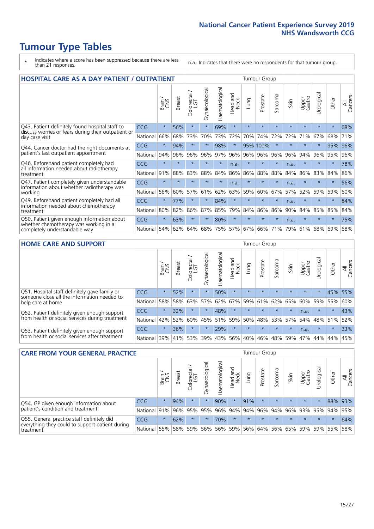# **Tumour Type Tables**

- \* Indicates where a score has been suppressed because there are less than 21 responses.
- n.a. Indicates that there were no respondents for that tumour group.

| <b>HOSPITAL CARE AS A DAY PATIENT / OUTPATIENT</b><br><b>Tumour Group</b>                                             |            |         |               |                       |                |                |                         |         |          |                  |         |                 |            |         |                |
|-----------------------------------------------------------------------------------------------------------------------|------------|---------|---------------|-----------------------|----------------|----------------|-------------------------|---------|----------|------------------|---------|-----------------|------------|---------|----------------|
|                                                                                                                       |            | Brain   | <b>Breast</b> | olorectal<br>LGT<br>Ũ | Gynaecological | Haematological | ead and<br>Neck<br>Head | Lung    | Prostate | arcoma<br>$\sim$ | Skin    | Upper<br>Gastro | Urological | Other   | All<br>Cancers |
| Q43. Patient definitely found hospital staff to                                                                       | CCG        | $\star$ | 56%           | $\star$               | $\star$        | 69%            | $\star$                 | $\star$ | $\star$  | $\star$          | $\star$ | $\star$         | $\star$    | $\star$ | 68%            |
| discuss worries or fears during their outpatient or<br>day case visit                                                 | National   | 66%     | 68%           | 73%                   | 70%            | 73%            | 72%                     | 70%     | 74%      | 72%              | 72%     | 71%             | 67%        | 68%     | 71%            |
| Q44. Cancer doctor had the right documents at<br>patient's last outpatient appointment                                | CCG        | $\star$ | 94%           | $\star$               | $\star$        | 98%            | $\star$                 |         | 95% 100% | $\star$          |         | $\star$         | $\star$    | 95%     | 96%            |
|                                                                                                                       | National   | 94%     | 96%           | 96%                   | 96%            | 97%            | 96%                     | 96%     | 96%      | 96%              | 96%     | 94%             | 96%        | 95%     | 96%            |
| Q46. Beforehand patient completely had                                                                                | <b>CCG</b> | $\star$ | $\star$       |                       |                | $\star$        | n.a.                    | $\star$ | $\star$  | $\star$          | n.a.    | $\star$         | $\star$    | $\star$ | 78%            |
| all information needed about radiotherapy<br>treatment                                                                | National   | 91%     | 88%           | 83%                   | 88%            | 84%            | 86%                     | 86%     | 88%      | 88%              | 84%     | 86%             | 83%        | 84%     | 86%            |
| Q47. Patient completely given understandable<br>information about whether radiotherapy was                            | <b>CCG</b> | $\star$ | $\star$       | $\star$               | $\star$        | $\star$        | n.a.                    | $\star$ | $\star$  | $\star$          | n.a.    | $\star$         | $\star$    | $\star$ | 56%            |
| working                                                                                                               | National   | 56%     | 60%           | 57%                   | 61%            | 62%            | 63%                     | 59%     | 60%      | 67%              | 57%     | 52%             | 59%        | 59%     | 60%            |
| Q49. Beforehand patient completely had all                                                                            | CCG        | $\star$ | 77%           | $\star$               | $\star$        | 84%            | $\star$                 | $\star$ | $\star$  | $\star$          | n.a.    | $\star$         | $\star$    | $\ast$  | 84%            |
| information needed about chemotherapy<br>treatment                                                                    | National   | 80%     | 82%           | 86%                   | 87%            | 85%            | 79%                     | 84%     | 86%      | 86%              | 90%     | 84%             | 85%        | 85%     | 84%            |
| Q50. Patient given enough information about<br>whether chemotherapy was working in a<br>completely understandable way | <b>CCG</b> | $\star$ | 63%           |                       | $\star$        | 80%            | $\star$                 | $\star$ | $\star$  | $\star$          | n.a.    | $\star$         |            | $\star$ | 75%            |
|                                                                                                                       | National   | 54%     | 62%           | 64%                   | 68%            | 75%            |                         | 57% 67% | 66%      | 71%              | 79%     | 61%             | 68%        | 69%     | 68%            |

#### **HOME CARE AND SUPPORT** Tumour Group

|                                                                                                                   |            | Brain   | Breast | Colorectal<br>LGT | ᢛ<br>Gynaecologic | Haematological | Head and<br>Neck | <b>Dung</b> | Prostate | Sarcoma | Skin    | Upper<br>Gastro | rological | Other   | All<br>Cancers |
|-------------------------------------------------------------------------------------------------------------------|------------|---------|--------|-------------------|-------------------|----------------|------------------|-------------|----------|---------|---------|-----------------|-----------|---------|----------------|
| Q51. Hospital staff definitely gave family or<br>someone close all the information needed to<br>help care at home | <b>CCG</b> | $\star$ | 52%    | $\star$           | $\star$           | 50%            | $\star$          | $\star$     | $\star$  | $\star$ | $\star$ | $\star$         | $\star$   | 45%     | 55%            |
|                                                                                                                   | National   | 58%     | 58%    | 63%               | 57%               | 62%            | 67%              | 59%         | 61%      | 62%     | 65%     | 60%             | 59%       | 55%     | 60%            |
| Q52. Patient definitely given enough support<br>from health or social services during treatment                   | <b>CCG</b> | $\star$ | 32%    |                   | $\star$           | 48%            | $\star$          | $\star$     | $\star$  | $\star$ | $\star$ | n.a.            | $\star$   | $\star$ | 43%            |
|                                                                                                                   | National   | 42%     | 52%    | 60%               | 45%               | $ 51\% $       | 59%              | 50%         | 48%      |         | 53% 57% | 54%             | 48% 51%   |         | 52%            |
| Q53. Patient definitely given enough support<br>from health or social services after treatment                    | <b>CCG</b> | $\star$ | 36%    |                   | $\star$           | 29%            | $\star$          | $\star$     | $\star$  | $\star$ | $\star$ | n.a.            | $\star$   | $\star$ | 33%            |
|                                                                                                                   | National   | 39%     | 41%    | 53%               | 39%               | $ 43\% $       | 56%              | 40%         | 46%      | 48%     | 59%     | 47%             | 44%       | 44%     | 45%            |

| <b>CARE FROM YOUR GENERAL PRACTICE</b>                                   |              |         |               |                   |                |                |                  | Tumour Group |                                 |         |         |                 |            |         |                |  |
|--------------------------------------------------------------------------|--------------|---------|---------------|-------------------|----------------|----------------|------------------|--------------|---------------------------------|---------|---------|-----------------|------------|---------|----------------|--|
|                                                                          |              | Brain   | <b>Breast</b> | Colorectal<br>LGT | Gynaecological | Haematological | Head and<br>Neck | Lung         | Prostate                        | Sarcoma | Skin    | Upper<br>Gastro | Urological | Other   | All<br>Cancers |  |
| Q54. GP given enough information about                                   | CCG          | $\star$ | 94%           | $\star$           | $\star$        | 90%            | $\star$          | 91%          | $\star$                         | $\star$ | $\star$ | $\star$         | $\star$    |         | 88% 93%        |  |
| patient's condition and treatment                                        | National 91% |         |               | 96% 95%           | 95%            |                |                  |              | 96% 94% 94% 96% 94% 96% 93% 95% |         |         |                 |            | 94% 95% |                |  |
| Q55. General practice staff definitely did                               | <b>CCG</b>   | $\star$ | 62%           | $\star$           | $\star$        | 70%            | $\star$          | $\star$      | $\star$                         | $\star$ | $\star$ | $\star$         | $\star$    | $\star$ | 64%            |  |
| everything they could to support patient during<br>National<br>treatment |              | 55%     |               | 58% 59%           | 56%            |                | 56% 59%          |              | 56% 64%                         |         | 56% 65% | 59%             |            | 59% 55% | 58%            |  |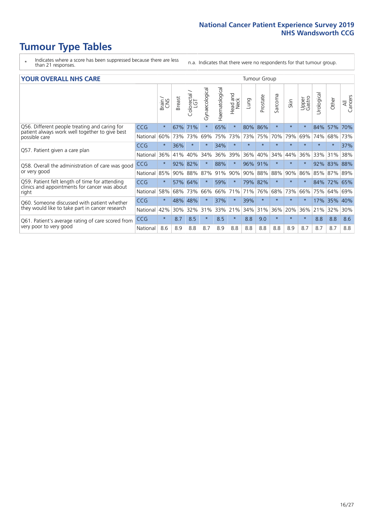# **Tumour Type Tables**

- \* Indicates where a score has been suppressed because there are less than 21 responses.
- n.a. Indicates that there were no respondents for that tumour group.

#### **YOUR OVERALL NHS CARE** THE TWO CONTROLLER THE THE THROUP CHANGE THE TUMOUR GROUP

|                                                                                                                  |            | Brain   | <b>Breast</b> | Colorectal | Gynaecological | Haematological | aad and<br>Neck<br>Head | Lung    | Prostate | Sarcoma | Skin    | Upper<br>Gastro | Urological | Other  | All<br>Cancers |
|------------------------------------------------------------------------------------------------------------------|------------|---------|---------------|------------|----------------|----------------|-------------------------|---------|----------|---------|---------|-----------------|------------|--------|----------------|
| Q56. Different people treating and caring for<br>patient always work well together to give best<br>possible care | <b>CCG</b> | $\star$ | 67%           | 71%        | $\star$        | 65%            | $\star$                 | 80%     | 86%      | $\star$ | $\star$ | $\star$         | 84%        | 57%    | 70%            |
|                                                                                                                  | National   | 60%     | 73%           | 73%        | 69%            | 75%            | 73%                     | 73%     | 75%      | 70%     | 79%     | 69%             | 74%        | 68%    | 73%            |
| Q57. Patient given a care plan                                                                                   | <b>CCG</b> | $\star$ | 36%           | $\star$    | $\star$        | 34%            | $\star$                 | $\star$ | $\star$  | $\star$ | $\star$ | $\star$         | $\star$    | $\ast$ | 37%            |
|                                                                                                                  | National   | 36%     | 41%           | 40%        | 34%            | 36%            | 39%                     | 36%     | 40%      | 34%     | 44%     | 36%             | 33%        | 31%    | 38%            |
| Q58. Overall the administration of care was good                                                                 | <b>CCG</b> | $\star$ | 92%           | 82%        |                | 88%            | $\star$                 | 96%     | 91%      | $\star$ | $\star$ |                 | 92%        | 83%    | 88%            |
| or very good                                                                                                     | National   | 85%     | 90%           | 88%        | 87%            | 91%            | 90%                     | 90%     | 88%      | 88%     | 90%     | 86%             | 85%        | 87%    | 89%            |
| Q59. Patient felt length of time for attending                                                                   | <b>CCG</b> | $\star$ | 57%           | 64%        | $\star$        | 59%            | $\star$                 | 79% 82% |          | $\star$ | $\star$ | $\star$         | 84%        | 72%    | 65%            |
| clinics and appointments for cancer was about<br>right                                                           | National   | 58%     | 68%           | 73%        | 66%            | 66%            | 71%                     | 71%     | 76%      | 68%     | 73%     | 66%             | 75%        | 64%    | 69%            |
| Q60. Someone discussed with patient whether                                                                      | CCG        | $\star$ | 48%           | 48%        |                | 37%            | $\star$                 | 39%     | $\star$  | $\star$ | $\star$ | $\star$         | 17%        | 35%    | 40%            |
| they would like to take part in cancer research                                                                  | National   | 42%     | 30%           | 32%        | 31%            | 33%            | 21%                     | 34%     | 31%      | 36%     | 20%     | 36%             | 21%        | 32%    | 30%            |
| Q61. Patient's average rating of care scored from                                                                | <b>CCG</b> | $\star$ | 8.7           | 8.5        | $\star$        | 8.5            | $\star$                 | 8.8     | 9.0      | $\star$ | $\star$ | $\star$         | 8.8        | 8.8    | 8.6            |
| very poor to very good                                                                                           | National   | 8.6     | 8.9           | 8.8        | 8.7            | 8.9            | 8.8                     | 8.8     | 8.8      | 8.8     | 8.9     | 8.7             | 8.7        | 8.7    | 8.8            |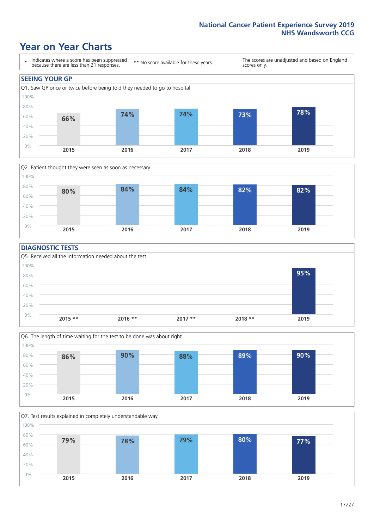### **Year on Year Charts**





#### **DIAGNOSTIC TESTS**





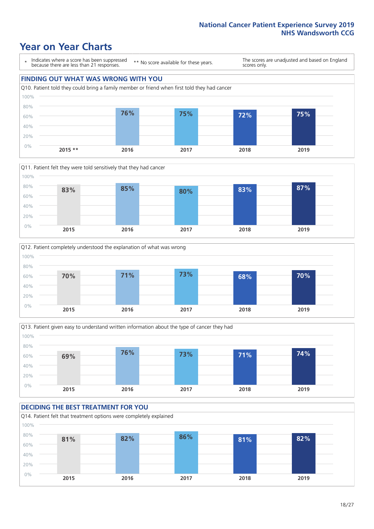### **Year on Year Charts**

\* Indicates where a score has been suppressed because there are less than 21 responses.

\*\* No score available for these years.

The scores are unadjusted and based on England scores only.

#### **FINDING OUT WHAT WAS WRONG WITH YOU** Q10. Patient told they could bring a family member or friend when first told they had cancer 0% 20% 40% 60% 80% 100% **2015 \*\* 2016 2017 2018 2019 76% 75% 72% 75%**







#### **DECIDING THE BEST TREATMENT FOR YOU** Q14. Patient felt that treatment options were completely explained 0% 20% 40% 60% 80% 100% **2015 2016 2017 2018 2019 81% 82% 86% 81% 82%**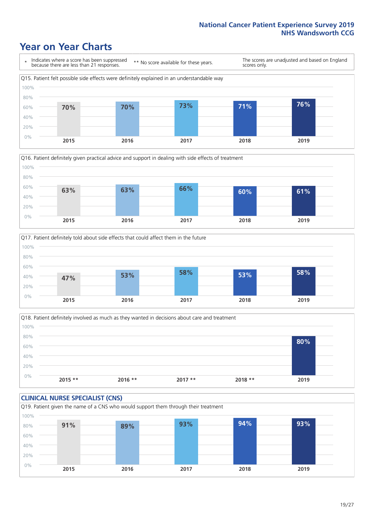### **Year on Year Charts**







Q18. Patient definitely involved as much as they wanted in decisions about care and treatment  $0%$ 20% 40% 60% 80% 100% **2015 \*\* 2016 \*\* 2017 \*\* 2018 \*\* 2019 80%**

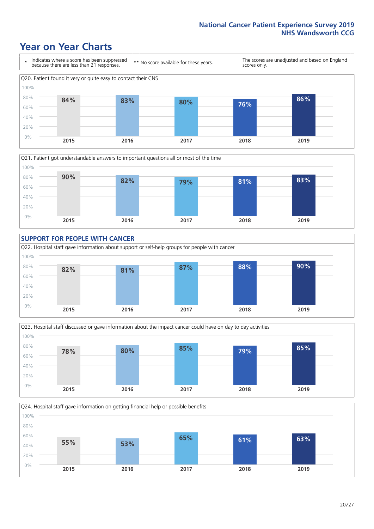### **Year on Year Charts**









Q24. Hospital staff gave information on getting financial help or possible benefits 0% 20% 40% 60% 80% 100% **2015 2016 2017 2018 2019 55% 53% 65% 61% 63%**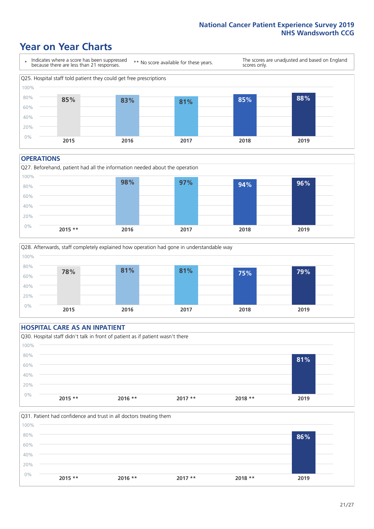### **Year on Year Charts**



#### **OPERATIONS**





#### **HOSPITAL CARE AS AN INPATIENT** Q30. Hospital staff didn't talk in front of patient as if patient wasn't there 0% 20% 40% 60% 80% 100% **2015 \*\* 2016 \*\* 2017 \*\* 2018 \*\* 2019 81%**

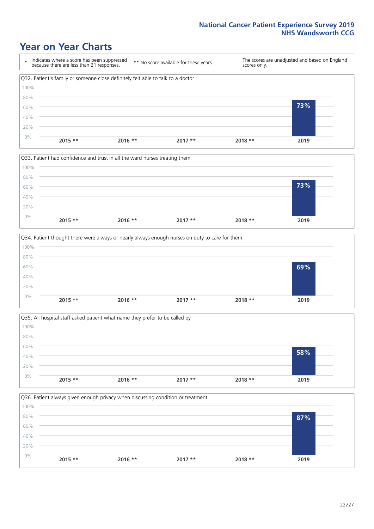### **Year on Year Charts**









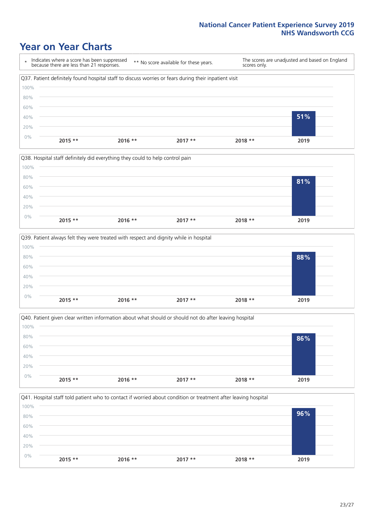### **Year on Year Charts**

\* Indicates where a score has been suppressed because there are less than 21 responses. \*\* No score available for these years. The scores are unadjusted and based on England scores only. Q37. Patient definitely found hospital staff to discuss worries or fears during their inpatient visit 0% 20% 40% 60% 80% 100% **2015 \*\* 2016 \*\* 2017 \*\* 2018 \*\* 2019 51%**







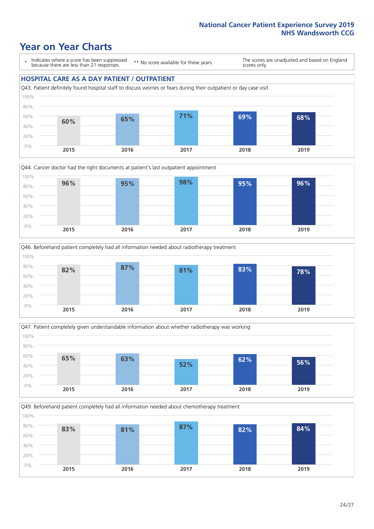### **Year on Year Charts**

\* Indicates where a score has been suppressed because there are less than 21 responses.

\*\* No score available for these years.

The scores are unadjusted and based on England scores only.

#### **HOSPITAL CARE AS A DAY PATIENT / OUTPATIENT**









Q49. Beforehand patient completely had all information needed about chemotherapy treatment 0% 20% 40% 60% 80% 100% **2015 2016 2017 2018 2019 83% 81% 87% 82% 84%**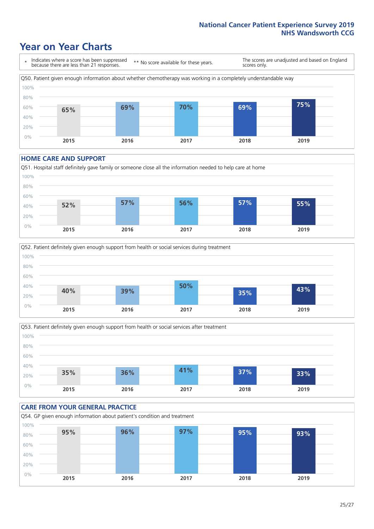### **Year on Year Charts**



#### **HOME CARE AND SUPPORT**







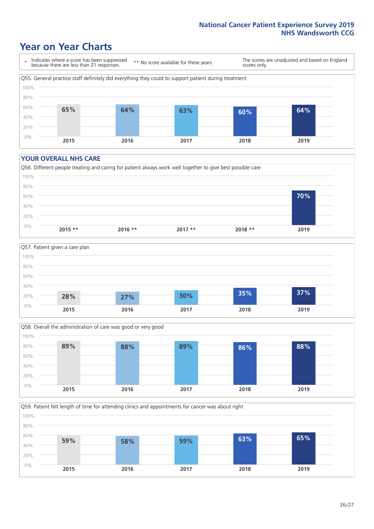### **Year on Year Charts**

\* Indicates where a score has been suppressed because there are less than 21 responses.

\*\* No score available for these years.

The scores are unadjusted and based on England scores only.



#### **YOUR OVERALL NHS CARE**







Q59. Patient felt length of time for attending clinics and appointments for cancer was about right